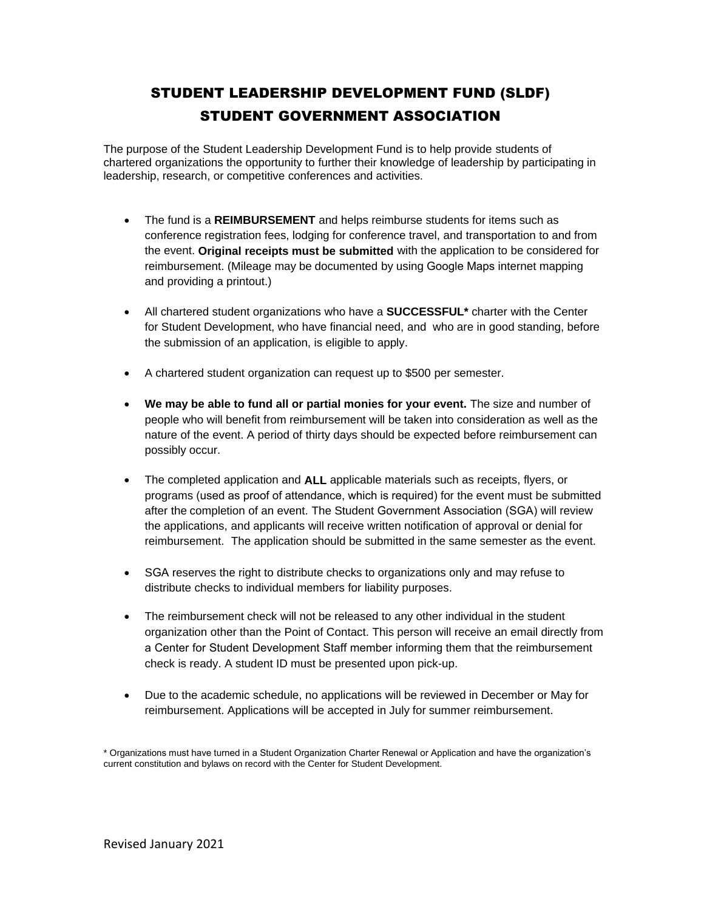# STUDENT LEADERSHIP DEVELOPMENT FUND (SLDF) STUDENT GOVERNMENT ASSOCIATION

The purpose of the Student Leadership Development Fund is to help provide students of chartered organizations the opportunity to further their knowledge of leadership by participating in leadership, research, or competitive conferences and activities.

- The fund is a **REIMBURSEMENT** and helps reimburse students for items such as conference registration fees, lodging for conference travel, and transportation to and from the event. **Original receipts must be submitted** with the application to be considered for reimbursement. (Mileage may be documented by using Google Maps internet mapping and providing a printout.)
- All chartered student organizations who have a **SUCCESSFUL\*** charter with the Center for Student Development, who have financial need, and who are in good standing, before the submission of an application, is eligible to apply.
- A chartered student organization can request up to \$500 per semester.
- **We may be able to fund all or partial monies for your event.** The size and number of people who will benefit from reimbursement will be taken into consideration as well as the nature of the event. A period of thirty days should be expected before reimbursement can possibly occur.
- The completed application and **ALL** applicable materials such as receipts, flyers, or programs (used as proof of attendance, which is required) for the event must be submitted after the completion of an event. The Student Government Association (SGA) will review the applications, and applicants will receive written notification of approval or denial for reimbursement. The application should be submitted in the same semester as the event.
- SGA reserves the right to distribute checks to organizations only and may refuse to distribute checks to individual members for liability purposes.
- The reimbursement check will not be released to any other individual in the student organization other than the Point of Contact. This person will receive an email directly from a Center for Student Development Staff member informing them that the reimbursement check is ready. A student ID must be presented upon pick-up.
- Due to the academic schedule, no applications will be reviewed in December or May for reimbursement. Applications will be accepted in July for summer reimbursement.

<sup>\*</sup> Organizations must have turned in a Student Organization Charter Renewal or Application and have the organization's current constitution and bylaws on record with the Center for Student Development.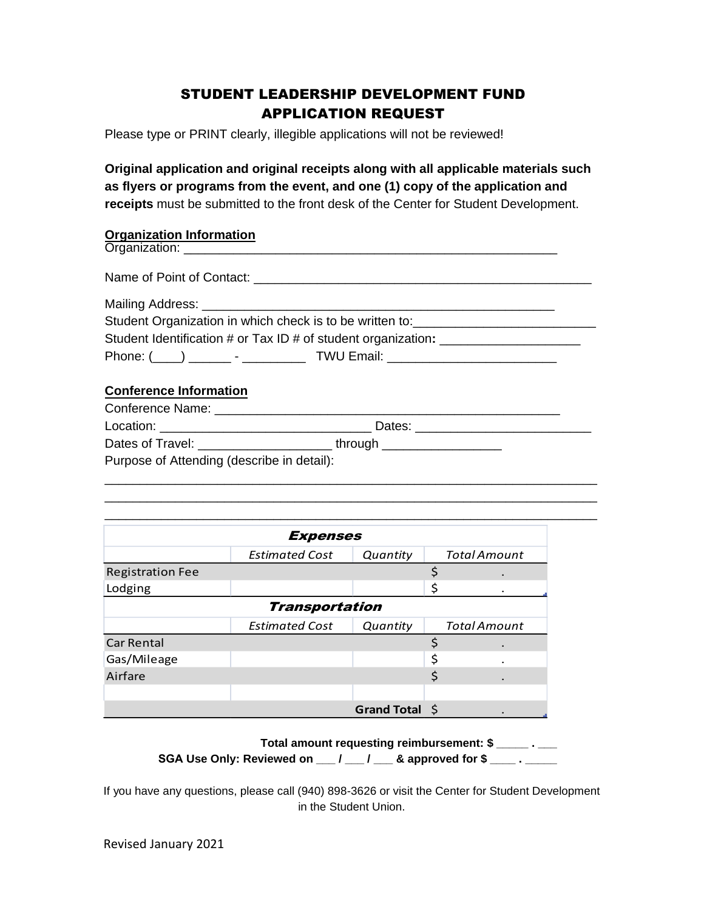### STUDENT LEADERSHIP DEVELOPMENT FUND APPLICATION REQUEST

Please type or PRINT clearly, illegible applications will not be reviewed!

**Original application and original receipts along with all applicable materials such as flyers or programs from the event, and one (1) copy of the application and receipts** must be submitted to the front desk of the Center for Student Development.

### **Organization Information**

|                                            | Student Organization in which check is to be written to: _______________________ |  |
|--------------------------------------------|----------------------------------------------------------------------------------|--|
|                                            | Student Identification # or Tax ID # of student organization: __________________ |  |
|                                            |                                                                                  |  |
| <b>Conference Information</b>              |                                                                                  |  |
|                                            |                                                                                  |  |
|                                            |                                                                                  |  |
|                                            |                                                                                  |  |
| Purpose of Attending (describe in detail): |                                                                                  |  |

\_\_\_\_\_\_\_\_\_\_\_\_\_\_\_\_\_\_\_\_\_\_\_\_\_\_\_\_\_\_\_\_\_\_\_\_\_\_\_\_\_\_\_\_\_\_\_\_\_\_\_\_\_\_\_\_\_\_\_\_\_\_\_\_\_\_\_\_\_\_ \_\_\_\_\_\_\_\_\_\_\_\_\_\_\_\_\_\_\_\_\_\_\_\_\_\_\_\_\_\_\_\_\_\_\_\_\_\_\_\_\_\_\_\_\_\_\_\_\_\_\_\_\_\_\_\_\_\_\_\_\_\_\_\_\_\_\_\_\_\_

| <b>Expenses</b>         |                       |                |    |                     |  |  |
|-------------------------|-----------------------|----------------|----|---------------------|--|--|
|                         | <b>Estimated Cost</b> | Quantity       |    | <b>Total Amount</b> |  |  |
| <b>Registration Fee</b> |                       |                | Ś  |                     |  |  |
| Lodging                 |                       |                | \$ | ۰                   |  |  |
| <b>Transportation</b>   |                       |                |    |                     |  |  |
|                         | <b>Estimated Cost</b> | Quantity       |    | <b>Total Amount</b> |  |  |
| <b>Car Rental</b>       |                       |                | ς  |                     |  |  |
| Gas/Mileage             |                       |                | \$ |                     |  |  |
| Airfare                 |                       |                | \$ |                     |  |  |
|                         |                       |                |    |                     |  |  |
|                         |                       | Grand Total \$ |    |                     |  |  |

 **Total amount requesting reimbursement: \$ \_\_\_\_\_ . \_\_\_ SGA Use Only: Reviewed on \_\_\_ / \_\_\_ / \_\_\_ & approved for \$ \_\_\_\_ . \_\_\_\_\_**

If you have any questions, please call (940) 898-3626 or visit the Center for Student Development in the Student Union.